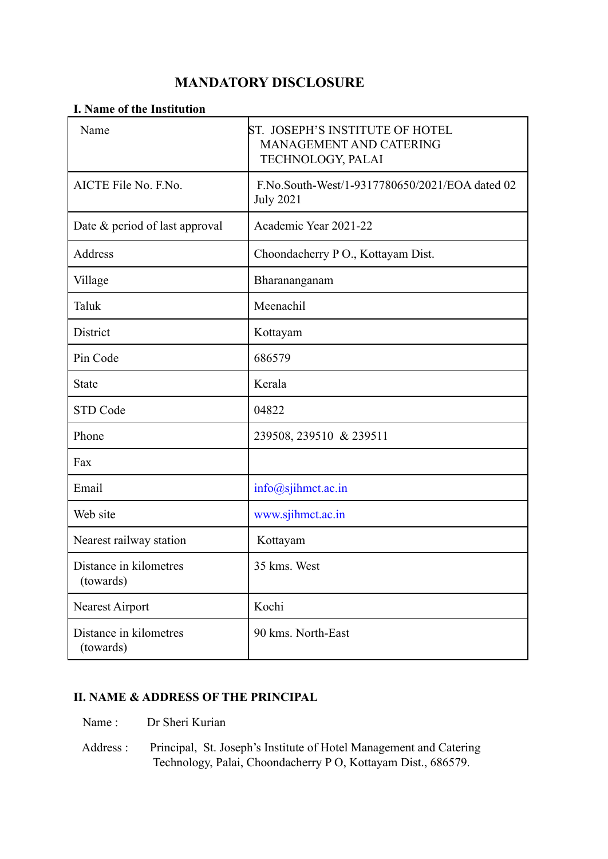# **MANDATORY DISCLOSURE**

## **I. Name of the Institution**

| Name                                | ST. JOSEPH'S INSTITUTE OF HOTEL<br>MANAGEMENT AND CATERING<br>TECHNOLOGY, PALAI |
|-------------------------------------|---------------------------------------------------------------------------------|
| AICTE File No. F.No.                | F.No.South-West/1-9317780650/2021/EOA dated 02<br><b>July 2021</b>              |
| Date & period of last approval      | Academic Year 2021-22                                                           |
| Address                             | Choondacherry PO., Kottayam Dist.                                               |
| Village                             | Bharananganam                                                                   |
| Taluk                               | Meenachil                                                                       |
| District                            | Kottayam                                                                        |
| Pin Code                            | 686579                                                                          |
| <b>State</b>                        | Kerala                                                                          |
| <b>STD Code</b>                     | 04822                                                                           |
| Phone                               | 239508, 239510 & 239511                                                         |
| Fax                                 |                                                                                 |
| Email                               | $info(a)$ sjihmet.ac.in                                                         |
| Web site                            | www.sjihmct.ac.in                                                               |
| Nearest railway station             | Kottayam                                                                        |
| Distance in kilometres<br>(towards) | 35 kms. West                                                                    |
| <b>Nearest Airport</b>              | Kochi                                                                           |
| Distance in kilometres<br>(towards) | 90 kms. North-East                                                              |

## **II. NAME & ADDRESS OF THE PRINCIPAL**

- Name : Dr Sheri Kurian
- Address : Principal, St. Joseph's Institute of Hotel Management and Catering Technology, Palai, Choondacherry P O, Kottayam Dist., 686579.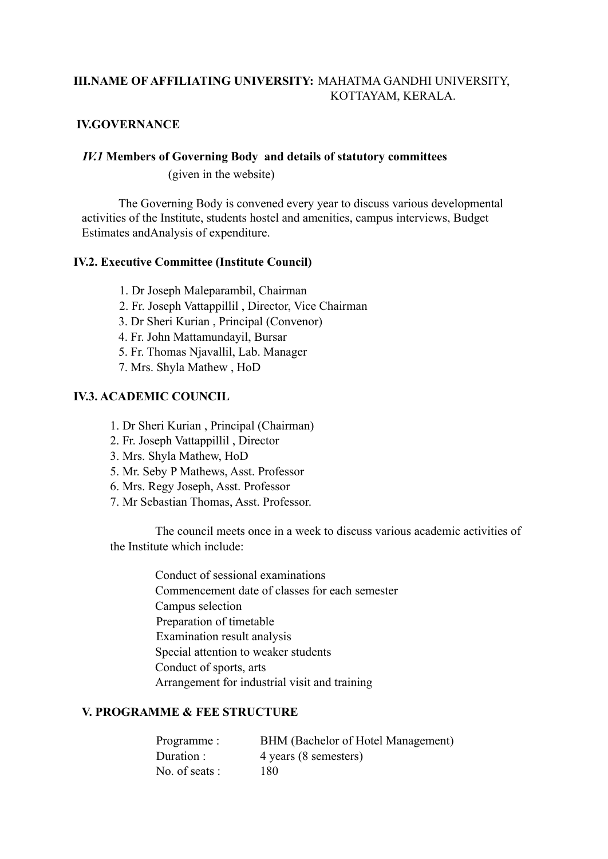# **III.NAME OF AFFILIATING UNIVERSITY:** MAHATMA GANDHI UNIVERSITY, KOTTAYAM, KERALA.

# **IV.GOVERNANCE**

#### *IV.1* **Members of Governing Body and details of statutory committees**

(given in the website)

The Governing Body is convened every year to discuss various developmental activities of the Institute, students hostel and amenities, campus interviews, Budget Estimates andAnalysis of expenditure.

## **IV.2. Executive Committee (Institute Council)**

- 1. Dr Joseph Maleparambil, Chairman
- 2. Fr. Joseph Vattappillil , Director, Vice Chairman
- 3. Dr Sheri Kurian , Principal (Convenor)
- 4. Fr. John Mattamundayil, Bursar
- 5. Fr. Thomas Njavallil, Lab. Manager
- 7. Mrs. Shyla Mathew , HoD

## **IV.3. ACADEMIC COUNCIL**

- 1. Dr Sheri Kurian , Principal (Chairman)
- 2. Fr. Joseph Vattappillil , Director
- 3. Mrs. Shyla Mathew, HoD
- 5. Mr. Seby P Mathews, Asst. Professor
- 6. Mrs. Regy Joseph, Asst. Professor
- 7. Mr Sebastian Thomas, Asst. Professor.

The council meets once in a week to discuss various academic activities of the Institute which include:

> Conduct of sessional examinations Commencement date of classes for each semester Campus selection Preparation of timetable Examination result analysis Special attention to weaker students Conduct of sports, arts Arrangement for industrial visit and training

## **V. PROGRAMME & FEE STRUCTURE**

| Programme :    | BHM (Bachelor of Hotel Management) |
|----------------|------------------------------------|
| Duration :     | 4 years (8 semesters)              |
| No. of seats : | 180.                               |